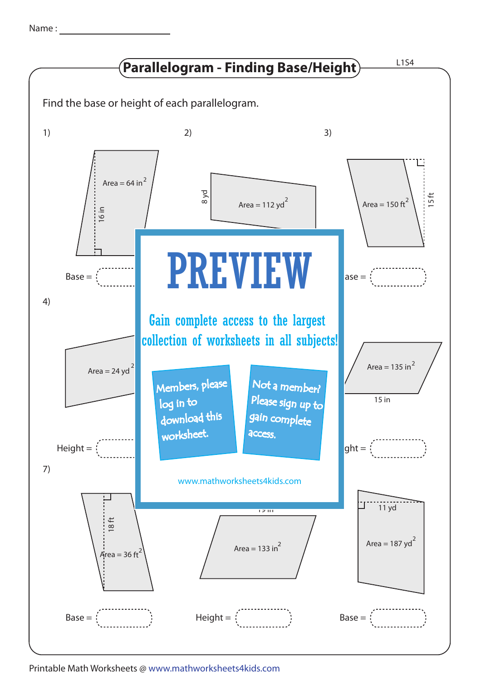| Name |  |
|------|--|
|      |  |



Printable Math Worksheets @ www.mathworksheets4kids.com